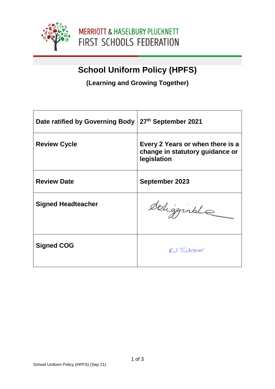

# **School Uniform Policy (HPFS)**

**(Learning and Growing Together)**

| Date ratified by Governing Body | 27 <sup>th</sup> September 2021                                                    |
|---------------------------------|------------------------------------------------------------------------------------|
| <b>Review Cycle</b>             | Every 2 Years or when there is a<br>change in statutory guidance or<br>legislation |
| <b>Review Date</b>              | <b>September 2023</b>                                                              |
| <b>Signed Headteacher</b>       | deligginale                                                                        |
| <b>Signed COG</b>               | RU Tutcher                                                                         |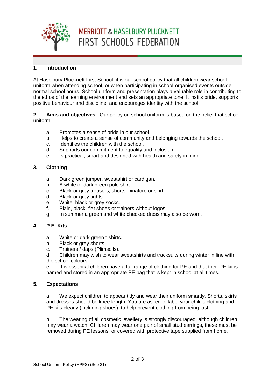

# **MERRIOTT & HASELBURY PLUCKNETT** FIRST SCHOOLS FEDERATION

### **1. Introduction**

At Haselbury Plucknett First School, it is our school policy that all children wear school uniform when attending school, or when participating in school-organised events outside normal school hours. School uniform and presentation plays a valuable role in contributing to the ethos of the learning environment and sets an appropriate tone. It instils pride, supports positive behaviour and discipline, and encourages identity with the school.

**2. Aims and objectives** Our policy on school uniform is based on the belief that school uniform:

- a. Promotes a sense of pride in our school.
- b. Helps to create a sense of community and belonging towards the school.
- c. Identifies the children with the school.
- d. Supports our commitment to equality and inclusion.
- e. Is practical, smart and designed with health and safety in mind.

#### **3. Clothing**

- a. Dark green jumper, sweatshirt or cardigan.
- b. A white or dark green polo shirt.
- c. Black or grey trousers, shorts, pinafore or skirt.
- d. Black or grey tights.
- e. White, black or grey socks.
- f. Plain, black, flat shoes or trainers without logos.
- g. In summer a green and white checked dress may also be worn.

### **4. P.E. Kits**

- a. White or dark green t-shirts.
- b. Black or grey shorts.
- c. Trainers / daps (Plimsolls).

d. Children may wish to wear sweatshirts and tracksuits during winter in line with the school colours.

e. It is essential children have a full range of clothing for PE and that their PE kit is named and stored in an appropriate PE bag that is kept in school at all times.

#### **5. Expectations**

a. We expect children to appear tidy and wear their uniform smartly. Shorts, skirts and dresses should be knee length. You are asked to label your child's clothing and PE kits clearly (including shoes), to help prevent clothing from being lost.

b. The wearing of all cosmetic jewellery is strongly discouraged, although children may wear a watch. Children may wear one pair of small stud earrings, these must be removed during PE lessons, or covered with protective tape supplied from home.